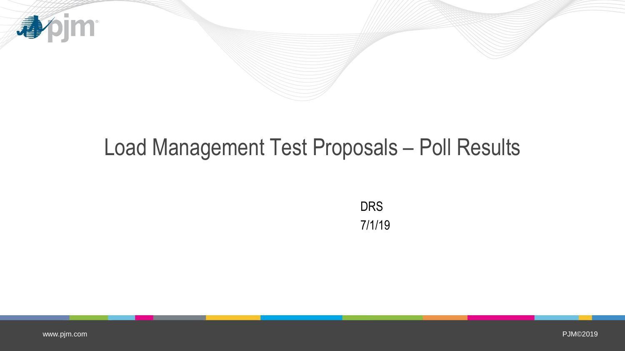

# Load Management Test Proposals – Poll Results

DRS 7/1/19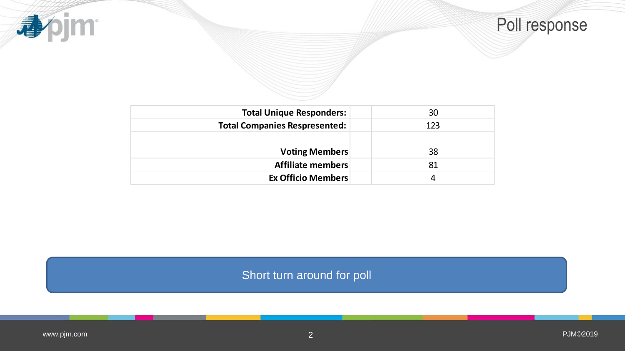



| <b>Total Unique Responders:</b>      | 30  |
|--------------------------------------|-----|
| <b>Total Companies Respresented:</b> | 123 |
|                                      |     |
| <b>Voting Members</b>                | 38  |
| Affiliate members                    | 81  |
| <b>Ex Officio Members</b>            |     |

Short turn around for poll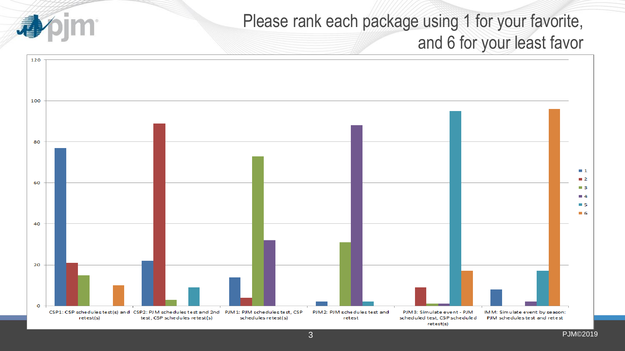## Please rank each package using 1 for your favorite, and 6 for your least favor

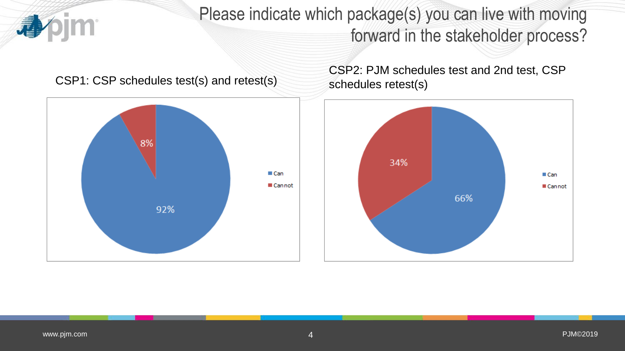

Please indicate which package(s) you can live with moving forward in the stakeholder process?

#### CSP1: CSP schedules test(s) and retest(s)



CSP2: PJM schedules test and 2nd test, CSP schedules retest(s)

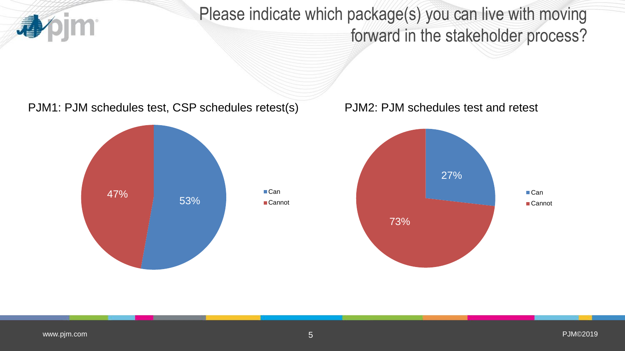Please indicate which package(s) you can live with moving forward in the stakeholder process?

PJM1: PJM schedules test, CSP schedules retest(s) PJM2: PJM schedules test and retest



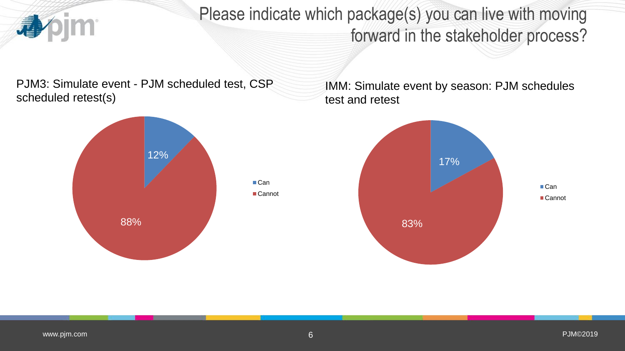

Please indicate which package(s) you can live with moving forward in the stakeholder process?

PJM3: Simulate event - PJM scheduled test, CSP scheduled retest(s)



IMM: Simulate event by season: PJM schedules test and retest

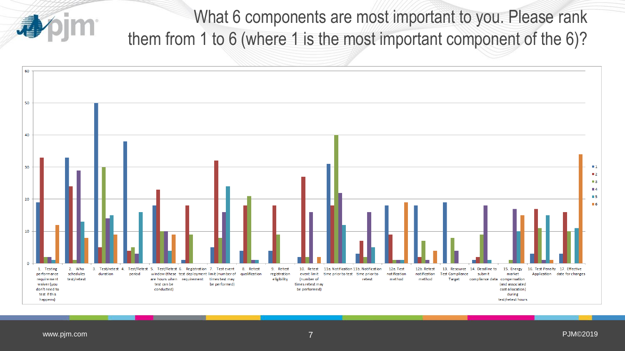What 6 components are most important to you. Please rank them from 1 to 6 (where 1 is the most important component of the 6)?

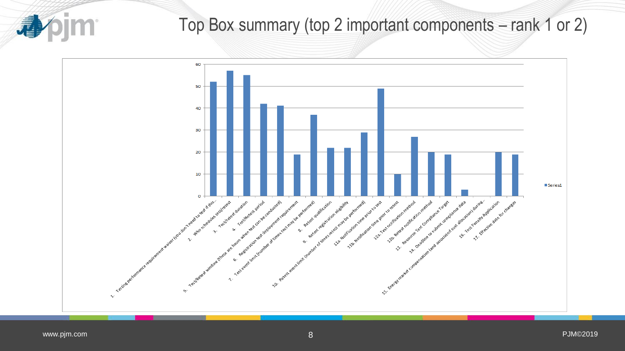

### Top Box summary (top 2 important components – rank 1 or 2)

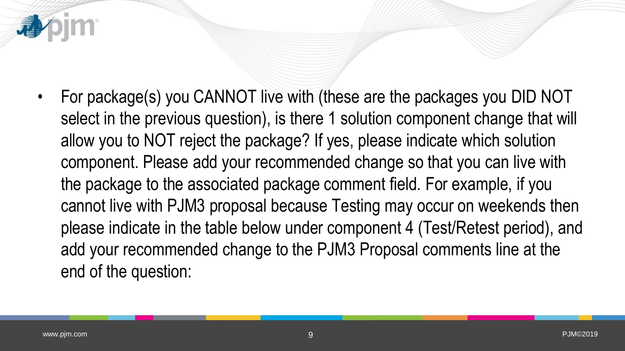

• For package(s) you CANNOT live with (these are the packages you DID NOT select in the previous question), is there 1 solution component change that will allow you to NOT reject the package? If yes, please indicate which solution component. Please add your recommended change so that you can live with the package to the associated package comment field. For example, if you cannot live with PJM3 proposal because Testing may occur on weekends then please indicate in the table below under component 4 (Test/Retest period), and add your recommended change to the PJM3 Proposal comments line at the end of the question: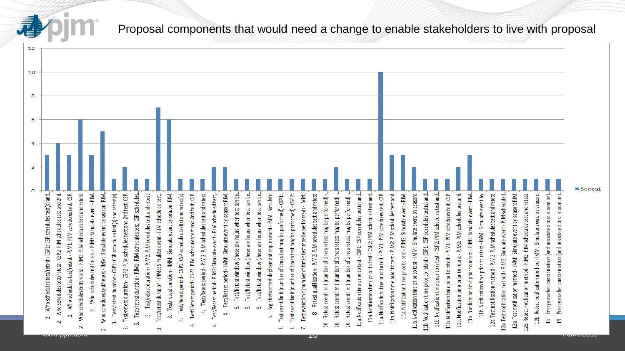

#### Proposal components that would need a change to enable stakeholders to live with proposal